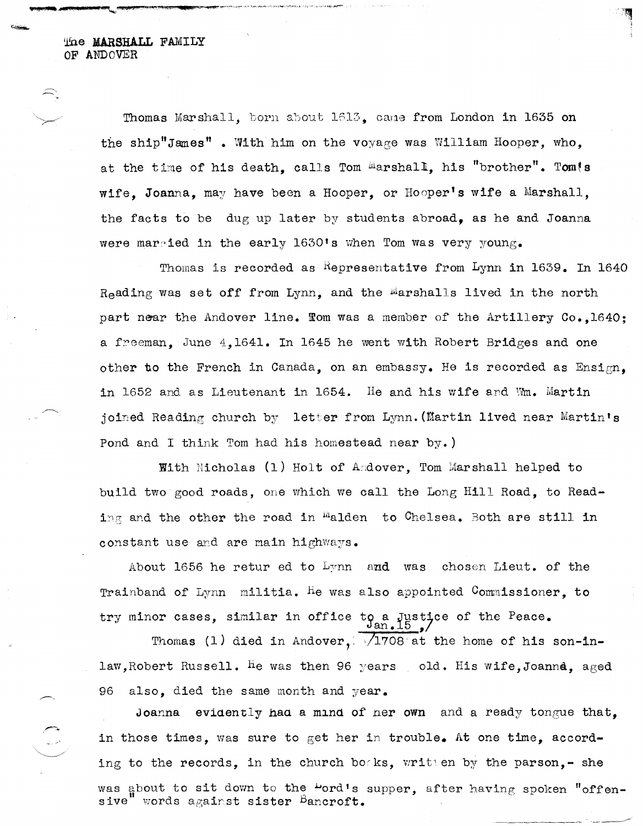me **MARSHALL** FAMILY OF ANDOVER

.~.

Thomas Marshall, born about 1613, came from London in 1635 on the ship"James" • With him on the voyage was William Hooper, who, at the time of his death, calls Tom Marshall, his "brother". Tom!s wife. Joanna, may have been a Hooper, or Hooper's wife a Marshall, the facts to be dug up later by students abroad, as he and Joanna were married in the early 1630's when Tom was very young.

Thomas is recorded as Representative from Lynn in  $1639$ . In  $1640$ Reading was set off from Lynn, and the Marshalls lived in the north part near the Andover line. From was a member of the Artillery Co., 1640; a freeman, June  $4,1641$ . In 1645 he went with Robert Bridges and one other to the French in Canada, on an embassy. He is recorded as Ensign, in 1652 and as Lieutenant in  $1654.$  He and his wife and Wm. Martin joined Reading church by letter from Lynn. (Martin lived near Martin's Pond and I think Tom had his homestead near by.)

With Nicholas (1) Holt of Andover, Tom Marshall helped to build two good roads, one which we call the Long Hill Road, to Reading and the other the road in  $^{\text{m}}$ alden to Chelsea. Both are still in constant use and are main highways.

About 1656 he retur ed to  $L_{\text{Y}}$ nn and was chosen Lieut. of the Trainband of Lynn  $\,$  militia. He was also appointed  $\,$  Commissioner, to  $\,$ try minor cases, similar in office to a Justice of the Peace.

Thomas (1) died in Andover,  $/1708$  at the home of his son-inlaw, Robert Russell. He was then 96 years old. His wife, Joanna, aged 96 also, died the same month and year.

Joanna evidently had a mind of her own and a ready tongue that, in those times, was sure to get her in trouble. At one time, according to the records, in the church books, written by the parson, - she was about to sit down to the "ord's supper, after having spoken "offensive" words against sister  $\texttt{Bancroft.}$ 

'-----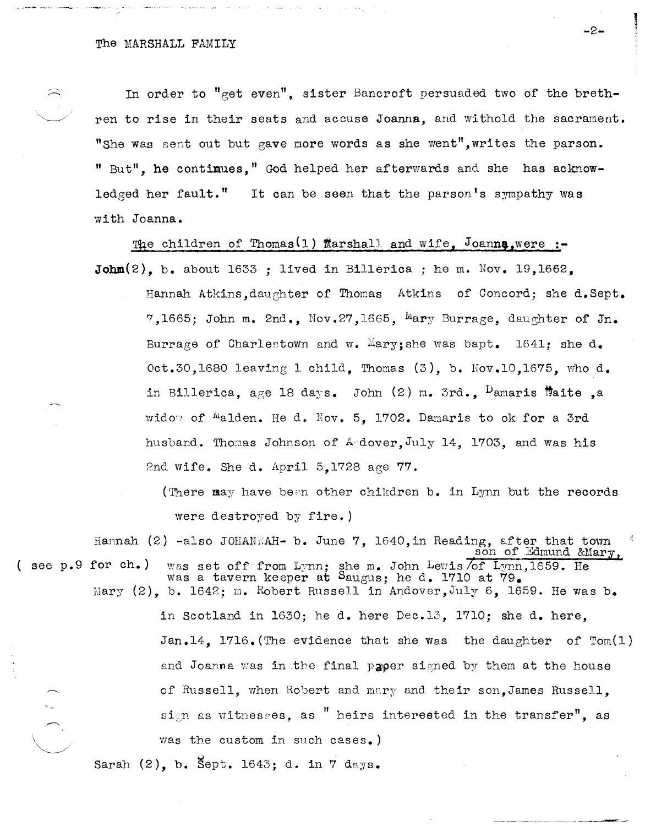$\Rightarrow$   $-$ 

 $\searrow$ 

In order to "get even", sister Bancroft persuaded two of the brethren to rise in their seats and accuse Joanna, and withold the sacrament. "She was sent out but gave more words as she went", writes the parson. " But", he contimues, " God helped her afterwards and she has acknowledged her fault.<sup>"</sup> It can be seen that the parson's sympathy was with Joanna.

The children of Thomas<sup>(1)</sup> Marshall and wife, Joanna,were :-John $(2)$ , b. about 1633 ; lived in Billerica ; he m. Nov. 19,1662.

Hannah Atkins,daughter of Thomas Atkins of Concord; she d.Sept. 7,1665; John m. 2nd., Nov.27,1665, Mary Burrage, daughter of Jn. Burrage of Charlestown and w. Mary; she was bapt. 1641; she  $d_{\bullet}$ Oct.30,1680 leavine 1 child, Thomas (3), b. Nov.lO,1675, who d. in Billerica, age 18 days. John  $(2)$  m. 3rd.,  $\nu$ amaris Waite ,a widow of malden. He d. Nov. 5. 1702. Damaris to ok for a 3rd husband. Thomas Johnson of Andover, July 14, 1703, and was his 2nd wife. She d. April 5,1728 age 77.

(There may have been other chikdren b. in Lynn but the records were destroyed by fire. )

Hannah (2) -also JOHANNAH- b. June 7, 1640, in Reading, after that town son of Edmund &Mary, ( see p.9 for ch.) was set off from Lynn; she m. John Lewis  $\overline{of}$  Lynn,1659. He was a tavern keeper at Saugus; he d. 1710 at 79. Mary (2), b. 1642; m. Robert Russell in Andover, July 6, 1659. He was b. in Scotland in 1630; he d. here Dec.13, 1710; she d. here,

Jan.14, 1716. (The evidence that she was the daughter of Tom(l) and Joanna was in the final paper signed by them at the house of Russell, when Robert and mary and their son, James Russell. sign as witnesses, as " heirs interested in the transfer", as was the custom in such cases.)

Sarah  $(2)$ , b. Sept. 1643; d. in  $\overline{7}$  days.

-2-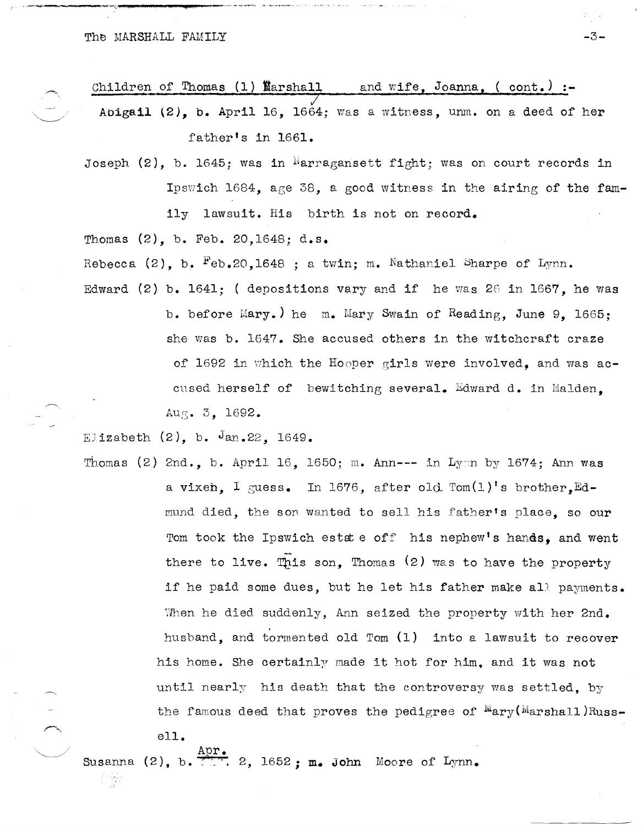\_\_\_\_ !I'"""\_"'·\_· \_\_ ...-j:.\_\$\$ \_\_\_ .'\_4\_""--·--~~·' ... ~~.--~,.

Children of Thomas (1) Warshall and wife, Joanna. ( cont.) :-Abigail (2), b. April 16, 1664; was a witness, unm. on a deed of her

father's in 1661.

Joseph  $(2)$ , b. 1645; was in Marragansett fight; was on court records in IpSYJich 1684, age 38, a good witness in the airing of the family lawsuit. His birth is not on record.

Thomas (2), b. Feb. 20,1648; d.s.

Rebecca (2), b.  $F_{eb, 20, 1648}$ ; a twin; m. Nathaniel Sharpe of Lynn.

Edward (2) b.  $1641;$  ( depositions vary and if he was 26 in 1667, he was b. before Mary.) he m. Mary Swain of Reading, June 9, 1665; she was b. 1647. She accused others in the witchcraft craze of 1692 in which the Hooper girls were involved, and was accnsed herself of bewitching several. Edward d. in Malden, Aug. 3, 1692.

Elizabeth  $(2)$ , b. Jan. 22, 1649.

ell.

강원

 $\sim$ 

Thomas (2) 2nd., b. April 16, 1650; m. Ann--- in Lym by 1674; Ann was a vixen. I guess. In 1676, after old  $Tom(1)'$ s brother. Edmund died, the son wanted to sell his father's place, so our Tom took the Ipswich estate off his nephew's hands, and went there to live. This son, Thomas  $(2)$  was to have the property if he paid some dues, but he let his father make all payments. When he died suddenly, Ann seized the property with her 2nd. husband, and tormented old Tom (1) into a lawsuit to recover his home. She certainly made it hot for him, and it was not until nearly his death that the controversy was settled, by the famous deed that proves the pedigree of  $Mary(Marshall)Russ-$ 

Susanna (2), b.  $\frac{\text{Apr}}{2\pi}$ , 2, 1652; m. John Moore of Lynn.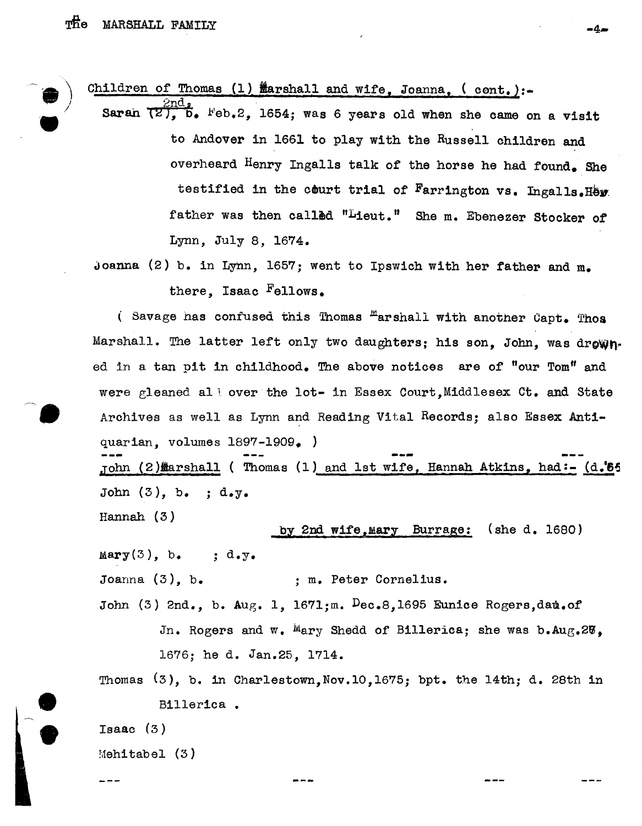$\hat{\phantom{a}}$ 

•

/

Children of Thomas (1)  $\frac{M}{2}$ arshall and wife, Joanna, ( cont.):-

Sarah  $\frac{2nd_s}{(2), b}$ .  $Feb.2$ , 1654; was 6 years old when she came on a visit to Andover in 1661 to play with the Russell children and overheard Henry Ingalls talk of the horse he had found. She testified in the court trial of Farrington vs. Ingalls. Here father was then called "Lieut." She m. Ebenezer Stocker of Lynn, July 8, 1674.

Joanna (2) b. in Lynn, 1657; went to Ipswich with her father and m. there, Isaac Fellows.

( Savage has confused this Thomas  $H$ arshall with another Capt. Thos Marshall. The latter left only two daughters; his son, John, was drowned in a tan pit in childhood. The above notices are of "our Tom" and were gleaned all over the lot- in Essex Court.Middlesex Ct. and State Archives as well as Lynn and Reading Vital Records; also Essex Antiquarian, volumes 1897-1909. ) John (2) arshall ( Thomas (1) and 1st wife, Hannah Atkins, had:- (d.<sup>\*</sup>55 John  $(3)$ , b. ; d.y.

Hannah (3)

## by 2nd wife, Mary Burrage: (she d. 1680)

m 4.m

 $Mary(3)$ , b. ; d.y.

Joanna (3), b. ; m. Peter Cornelius.

John (3) 2nd., b. Aug. 1, 1671;m.  $Dec.8,1695$  Eunice Rogers, dau.of In. Rogers and w. Mary Shedd of Billerica; she was b.Aug.2 $\delta$ . 1676; he d. Jan.25, 1714.

Thomas (3), b. in Charlestown,Nov.10,1675; bpt. the 14th; d. 28th in Billerica •

Isaac (3)

e

e

 $M$ ehitabel  $(3)$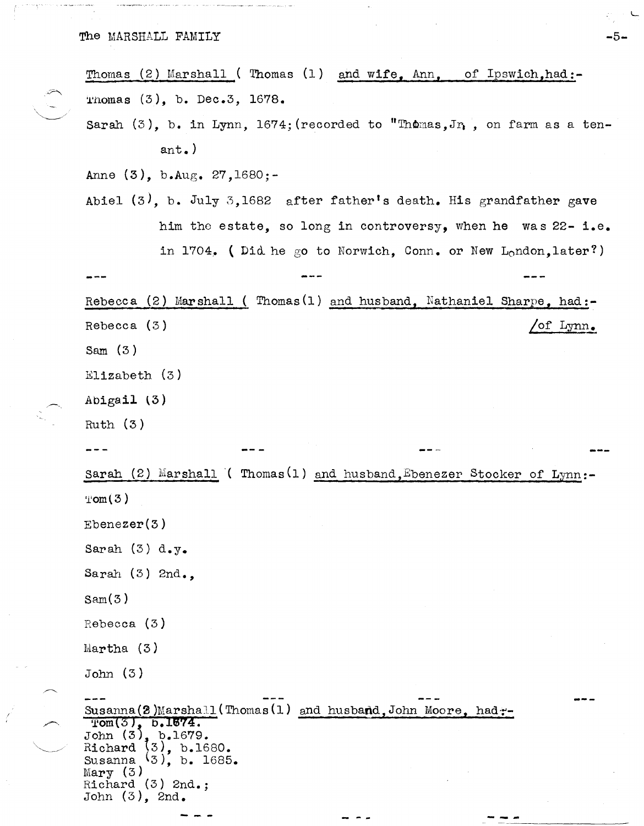| Thomas (2) Marshall (Thomas (1) and wife, Ann, of Ipswich, had:-                                                                                                                         |  |
|------------------------------------------------------------------------------------------------------------------------------------------------------------------------------------------|--|
| Thomas $(3)$ , b. Dec.3, 1678.                                                                                                                                                           |  |
| Sarah $(3)$ , b. in Lynn, 1674; (recorded to "Thomas, Jn, on farm as a ten-                                                                                                              |  |
| ant.)                                                                                                                                                                                    |  |
| Anne $(3)$ , b.Aug. 27, 1680;-                                                                                                                                                           |  |
| Abiel $(3)$ , b. July 3,1682 after father's death. His grandfather gave                                                                                                                  |  |
| him the estate, so long in controversy, when he was 22-i.e.                                                                                                                              |  |
| in 1704. (Did he go to Norwich, Conn. or New London, later?)                                                                                                                             |  |
|                                                                                                                                                                                          |  |
| Rebecca (2) Marshall (Thomas(1) and husband, Nathaniel Sharpe, had:-                                                                                                                     |  |
| of Lynn.<br>Rebecca $(3)$                                                                                                                                                                |  |
| Sam $(3)$                                                                                                                                                                                |  |
| Elizabeth $(3)$                                                                                                                                                                          |  |
| Abigail (3)                                                                                                                                                                              |  |
| Ruth $(3)$                                                                                                                                                                               |  |
|                                                                                                                                                                                          |  |
| Sarah (2) Marshall ( Thomas (1) and husband, Ebenezer Stocker of Lynn:-                                                                                                                  |  |
| Tom(3)                                                                                                                                                                                   |  |
| Ebenezer(3)                                                                                                                                                                              |  |
| Sarah $(3)$ d.y.                                                                                                                                                                         |  |
| Sarah $(3)$ 2nd.,                                                                                                                                                                        |  |
| Sam(3)                                                                                                                                                                                   |  |
| Rebecca $(3)$                                                                                                                                                                            |  |
| Martha $(3)$                                                                                                                                                                             |  |
| John(3)                                                                                                                                                                                  |  |
| Susanna (2) Marshall (Thomas (1) and husband, John Moore, had:-<br>$Tom(3)$ , $b.1674$ .<br>John $(3)$ , b.1679.<br>$(3)$ , b.1680.<br>Richard<br>Susanna $(3)$ , b. 1685.<br>Mary $(3)$ |  |
| Richard $(3)$ 2nd.;<br>John $(3)$ , 2nd.                                                                                                                                                 |  |
|                                                                                                                                                                                          |  |

- 55

 $\label{eq:2.1} \frac{1}{\sqrt{2}}\int_{\mathbb{R}^3}\frac{1}{\sqrt{2}}\left(\frac{1}{\sqrt{2}}\right)^2\frac{1}{\sqrt{2}}\left(\frac{1}{\sqrt{2}}\right)^2\frac{1}{\sqrt{2}}\left(\frac{1}{\sqrt{2}}\right)^2.$ 

 $\mathcal{R}_\mu \geq 0$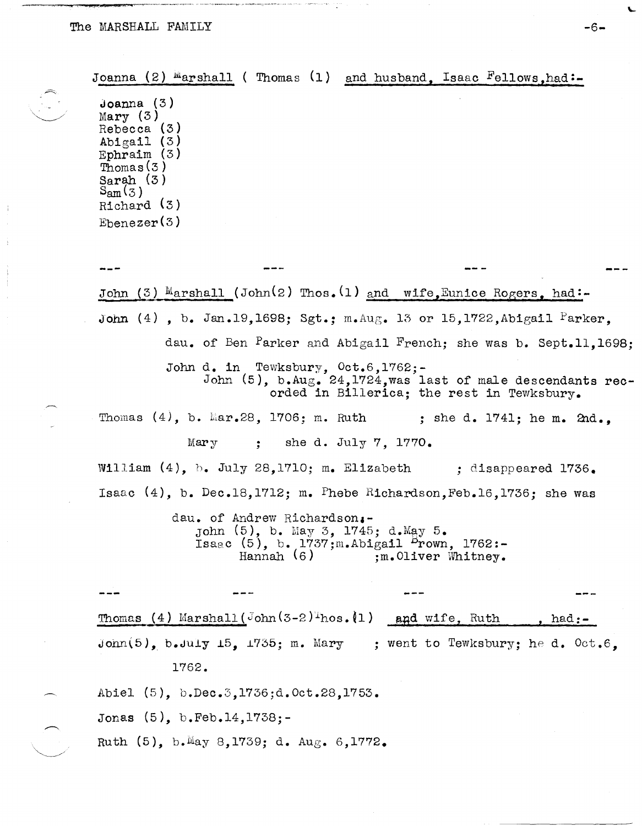∼

 $\overline{\phantom{a}}$ 

 $\frac{1}{2}$ 

÷

ے ۔<br>اس کے اس کے بعد محمد کے مسلم کے مطابق میں میں محمد ہوتی ہے کہ اس محمد کی اور اس کے مرکز مسلم کے انہیں محمد ہوت

|                                                                                                                                                                           | Joanna (2) Marshall (Thomas (1) and husband, Isaac Fellows, had:-                                                                                              |
|---------------------------------------------------------------------------------------------------------------------------------------------------------------------------|----------------------------------------------------------------------------------------------------------------------------------------------------------------|
| Joanna (3)<br>Mary(3)<br>Rebecca (3)<br>Abigail $(3)$<br>Ephraim $(3)$<br>$\overline{\text{Thomas}}(3)$<br>Sarah $(3)$<br>$S_{\rm am}(3)$<br>Richard $(3)$<br>Ebenezer(3) |                                                                                                                                                                |
|                                                                                                                                                                           |                                                                                                                                                                |
|                                                                                                                                                                           | John (3) Marshall (John(2) Thos. (1) and wife, Eunice Rogers, had:-                                                                                            |
|                                                                                                                                                                           | John (4), b. Jan.19,1698; Sgt.; m.Aug. 13 or 15,1722, Abigail Parker,                                                                                          |
|                                                                                                                                                                           | dau. of Ben Parker and Abigail French; she was b. Sept.11,1698;                                                                                                |
|                                                                                                                                                                           | John d. in Tewksbury, Oct.6,1762;-<br>John $(5)$ , b.Aug. 24,1724, was last of male descendants rec-<br>orded in Billerica; the rest in Tewksbury.             |
|                                                                                                                                                                           | Thomas $(4)$ , b. Mar. 28, 1706; m. Ruth ; she d. 1741; he m. 2nd.,                                                                                            |
|                                                                                                                                                                           | Mary ; she d. July 7, $1770$ .                                                                                                                                 |
|                                                                                                                                                                           | William $(4)$ , b. July 28,1710; m. Elizabeth : disappeared 1736.                                                                                              |
|                                                                                                                                                                           | Isaac $(4)$ , b. Dec.18,1712; m. Phebe Richardson, Feb.16,1736; she was                                                                                        |
|                                                                                                                                                                           | dau. of Andrew Richardson.-<br>John (5), b. May 3, 1745; d. May 5.<br>Isaac $(5)$ , b. 1737; m. Abigail $P$ rown, 1762:-<br>Hannah $(6)$<br>:m.Oliver Whitney. |
|                                                                                                                                                                           |                                                                                                                                                                |
|                                                                                                                                                                           | Thomas (4) Marshall (John $(3-2)^{n}$ hos. (1) and wife, Ruth<br>, had: $-$                                                                                    |
|                                                                                                                                                                           | $John(5)$ , b. July 15, 1735; m. Mary ; went to Tewksbury; he d. Oct. 6.                                                                                       |
|                                                                                                                                                                           | 1762.                                                                                                                                                          |
|                                                                                                                                                                           | Abiel (5), b.Dec.3,1736;d.Oct.28,1753.                                                                                                                         |
|                                                                                                                                                                           | Jonas (5), b.Feb.14,1738;-                                                                                                                                     |
|                                                                                                                                                                           | Ruth (5), b. May 8, 1739; d. Aug. 6, 1772.                                                                                                                     |
|                                                                                                                                                                           |                                                                                                                                                                |

 $\mathbf{L}$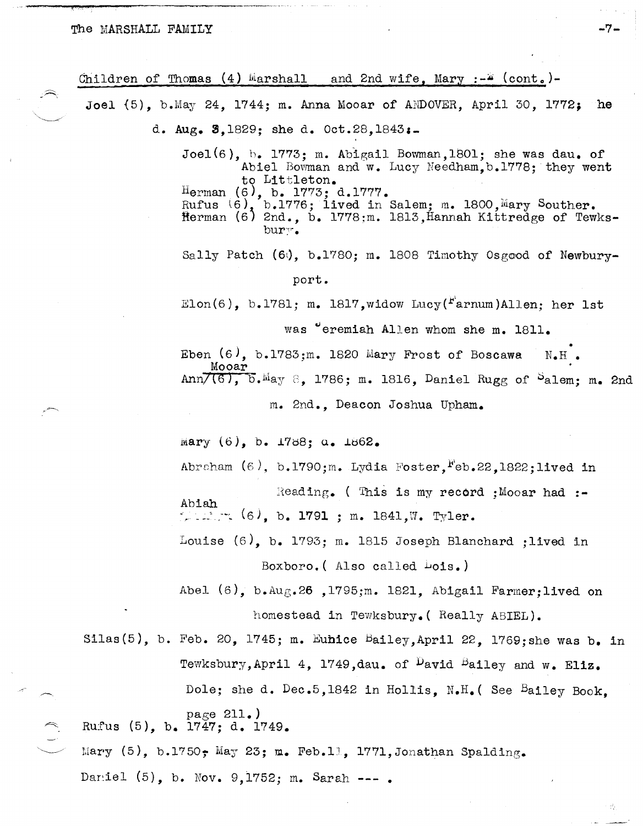a ism

 $\lambda$ 

| Children of Thomas $(4)$ Marshall and 2nd wife, Mary $:-$ (cont.)-                                                                                                                                                                                                                                                                |
|-----------------------------------------------------------------------------------------------------------------------------------------------------------------------------------------------------------------------------------------------------------------------------------------------------------------------------------|
| Joel $(5)$ , b.May 24, 1744; m. Anna Mooar of ANDOVER, April 30, 1772; he                                                                                                                                                                                                                                                         |
| d. Aug. 3,1829; she d. Oct.28,1843:-                                                                                                                                                                                                                                                                                              |
| $Joel(6)$ , b. 1773; m. Abigail Bowman, 1801; she was dau. of<br>Abiel Bowman and w. Lucy Needham, b.1778; they went<br>to Littleton.<br>Herman $(6)$ , $\overline{b}$ . 1773; d. 1777.<br>Rufus $(6)$ , b. 1776; lived in Salem; m. 1800, Mary Souther.<br>Herman (6) 2nd., b. 1778;m. 1813, Hannah Kittredge of Tewks-<br>bury. |
| Sally Patch (60), b.1780; m. 1808 Timothy Osgood of Newbury-                                                                                                                                                                                                                                                                      |
| port.                                                                                                                                                                                                                                                                                                                             |
| Elon(6), b.1781; m. 1817, widow Lucy( $rr$ arnum)Allen; her 1st                                                                                                                                                                                                                                                                   |
| was "eremiah Allen whom she m. 1811.                                                                                                                                                                                                                                                                                              |
| Eben $(6)$ , b.1783;m. 1820 Mary Frost of Boscawa<br>$N_{\bullet}H_{\bullet}$                                                                                                                                                                                                                                                     |
| Mooar<br>$Ann7(6)$ , $b$ . May 8, 1786; m. 1816, Daniel Rugg of Salem; m. 2nd                                                                                                                                                                                                                                                     |
| m. 2nd., Deacon Joshua Upham.                                                                                                                                                                                                                                                                                                     |
| Mary $(6)$ , b. 1788; a. 1862.                                                                                                                                                                                                                                                                                                    |
| Abraham $(6)$ , b.1790;m. Lydia Foster, Feb.22, 1822; lived in                                                                                                                                                                                                                                                                    |
| Reading. (This is my record ; Mooar had :-<br>Abiah<br>$\sim$ 12. $\sim$ (6), b. 1791 ; m. 1841, W. Tyler.                                                                                                                                                                                                                        |
| Louise $(6)$ , b. 1793; m. 1815 Joseph Blanchard ; lived in                                                                                                                                                                                                                                                                       |
| Boxboro. (Also called Lois.)                                                                                                                                                                                                                                                                                                      |
| Abel $(6)$ , b.Aug.26, 1795;m. 1821, Abigail Farmer: lived on                                                                                                                                                                                                                                                                     |
| homestead in Tewksbury. (Really ABIEL).                                                                                                                                                                                                                                                                                           |
| Silas(5), b. Feb. 20, 1745; m. Euhice Bailey, April 22, 1769; she was b. in                                                                                                                                                                                                                                                       |
| Tewksbury, April 4, 1749, dau. of <sup>D</sup> avid Bailey and w. Eliz.                                                                                                                                                                                                                                                           |
| Dole; she d. Dec.5,1842 in Hollis, N.H. (See Bailey Book,                                                                                                                                                                                                                                                                         |
| page $211.$ )<br>Rufus (5), b. 1747; d. 1749.                                                                                                                                                                                                                                                                                     |
| Mary (5), b.1750; May 23; m. Feb.11, 1771, Jonathan Spalding.                                                                                                                                                                                                                                                                     |
| Daniel (5), b. Nov. 9,1752; m. Sarah ---.                                                                                                                                                                                                                                                                                         |

 $\mathcal{A}^{\mathcal{A}}$  .

 $\mathcal{L}_{\mathcal{M}_1}^{(2)}$ 

 $\epsilon$ 

 $\mathcal{F}(\mathcal{A})$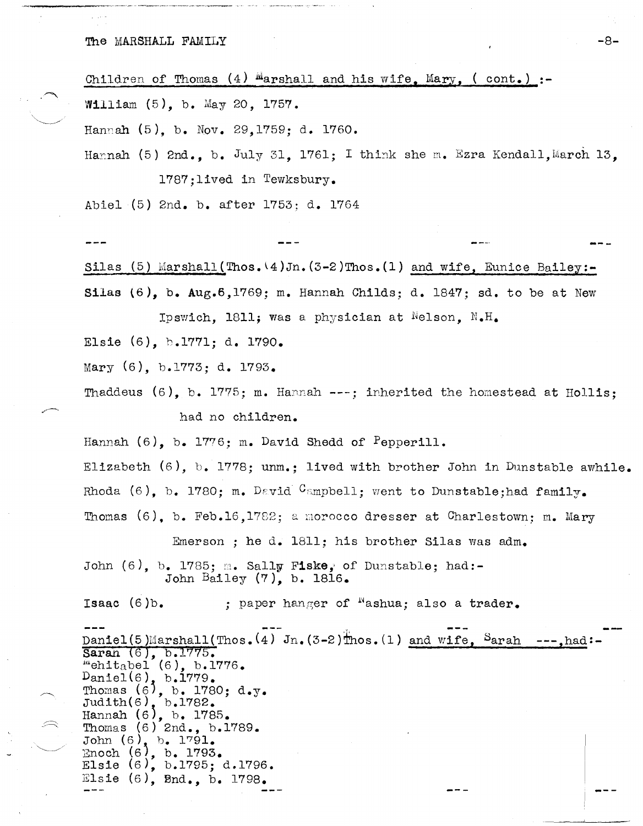## The MARSHALL FAMILY

Children of Thomas (4) Marshall and his wife. Mary. (cont.) :-William (5), b. May 20, 1757. Hannah (5), b. Nov. 29, 1759; d. 1760. Hannah (5) 2nd. b. July 31. 1761: I think she m. Ezra Kendall. March 13. 1787: lived in Tewksbury. Abiel (5) 2nd. b. after 1753; d. 1764 Silas (5) Marshall (Thos.  $(4)$  Jn.  $(3-2)$ Thos. (1) and wife. Eunice Bailey:-Silas  $(6)$ , b. Aug. 6, 1769; m. Hannah Childs: d. 1847; sd. to be at New Ipswich. 1811; was a physician at Nelson. N.H. Elsie (6), b.1771; d. 1790. Mary (6), b.1773; d. 1793. Thaddeus  $(6)$ , b. 1775; m. Hannah ---; inherited the homestead at Hollis; had no children. Hannah (6), b. 1776; m. David Shedd of Pepperill. Elizabeth (6), b. 1778; unm.; lived with brother John in Dunstable awhile. Rhoda (6). b. 1780: m. David Campbell; went to Dunstable; had family. Thomas (6). b. Feb.16.1782; a morocco dresser at Charlestown; m. Mary Emerson; he d. 1811; his brother Silas was adm. John  $(6)$ , b. 1785; m. Sally Fiske, of Dunstable; had:-John Bailey (7), b. 1816. Isaac  $(6)$ b. ; paper hanger of  $^{\aleph}$ ashua; also a trader. Daniel(5)Marshall(Thos.  $(4)$  Jn.  $(3-2)$ Thos. (1) and wife, Sarah ---, had: Saran (6), b.1775.<br>"ehitabel (6), b.1776. Daniel(6), b.1779.<br>Thomas (6), b. 1780; d.y.<br>Judith(6), b.1782. Hannah (6), b. 1785.<br>Thomas (6) 2nd., b.1789. John  $(6)$ , b. 1791. Enoch (6), b. 1793.<br>Elsie (6), b.1795; d.1796. Elsie (6), Bnd., b. 1798.

 $-8-$